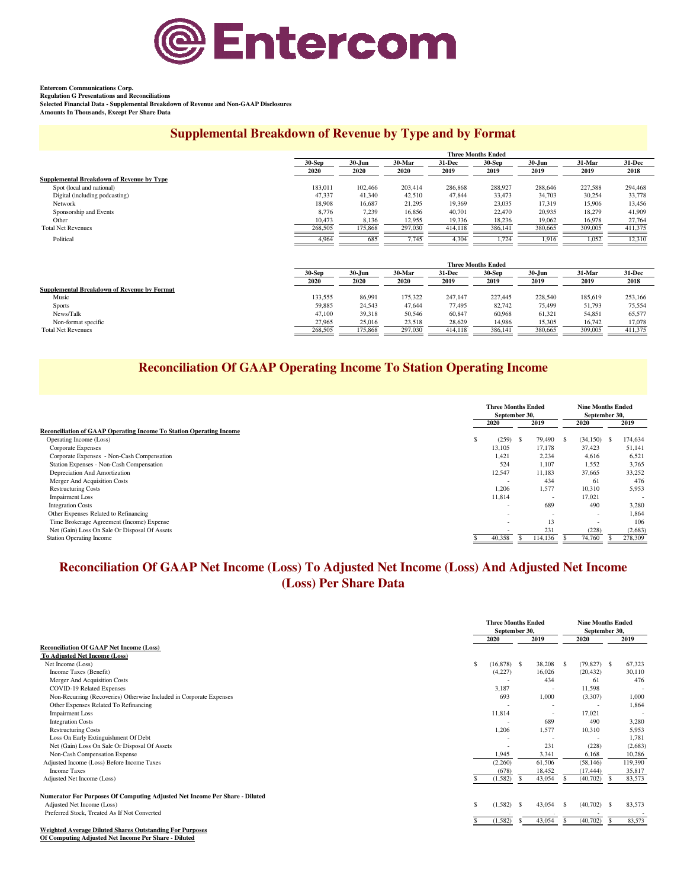

**Entercom Communications Corp. Regulation G Presentations and Reconciliations**

**Selected Financial Data - Supplemental Breakdown of Revenue and Non-GAAP Disclosures Amounts In Thousands, Except Per Share Data**

### **Supplemental Breakdown of Revenue by Type and by Format**

|                                           |          |                      |         |         | <b>Three Months Ended</b> |            |         |          |
|-------------------------------------------|----------|----------------------|---------|---------|---------------------------|------------|---------|----------|
|                                           | $30-Sep$ | $30 - Jun$<br>30-Mar |         | 31-Dec  | $30-Sep$                  | $30 - Jun$ | 31-Mar  | $31-Dec$ |
|                                           | 2020     | 2020                 | 2020    | 2019    | 2019                      | 2019       | 2019    | 2018     |
| Supplemental Breakdown of Revenue by Type |          |                      |         |         |                           |            |         |          |
| Spot (local and national)                 | 183,011  | 102,466              | 203.414 | 286,868 | 288,927                   | 288,646    | 227.588 | 294,468  |
| Digital (including podcasting)            | 47,337   | 41,340               | 42,510  | 47,844  | 33,473                    | 34,703     | 30,254  | 33,778   |
| Network                                   | 18.908   | 16,687               | 21,295  | 19.369  | 23,035                    | 17,319     | 15,906  | 13,456   |
| Sponsorship and Events                    | 8,776    | 7,239                | 16,856  | 40,701  | 22,470                    | 20,935     | 18.279  | 41,909   |
| Other                                     | 10,473   | 8,136                | 12,955  | 19,336  | 18,236                    | 19,062     | 16,978  | 27,764   |
| <b>Total Net Revenues</b>                 | 268,505  | 175,868              | 297,030 | 414.118 | 386,141                   | 380,665    | 309,005 | 411.375  |
| Political                                 | 4,964    | 685                  | 7.745   | 4,304   | 1,724                     | 1,916      | 1,052   | 12,310   |

|                                             |          | <b>Three Months Ended</b> |                         |         |          |            |         |         |  |  |  |  |  |  |
|---------------------------------------------|----------|---------------------------|-------------------------|---------|----------|------------|---------|---------|--|--|--|--|--|--|
|                                             | $30-Sep$ | 30-Jun                    | 30-Mar<br><b>31-Dec</b> |         | $30-Sep$ | $30 - Jun$ | 31-Mar  | 31-Dec  |  |  |  |  |  |  |
|                                             | 2020     | 2020                      | 2020                    | 2019    | 2019     | 2019       | 2019    | 2018    |  |  |  |  |  |  |
| Supplemental Breakdown of Revenue by Format |          |                           |                         |         |          |            |         |         |  |  |  |  |  |  |
| Music                                       | 133.555  | 86.991                    | 175.322                 | 247.147 | 227,445  | 228,540    | 185,619 | 253,166 |  |  |  |  |  |  |
| <b>Sports</b>                               | 59,885   | 24,543                    | 47.644                  | 77.495  | 82,742   | 75,499     | 51,793  | 75.554  |  |  |  |  |  |  |
| News/Talk                                   | 47,100   | 39,318                    | 50,546                  | 60,847  | 60,968   | 61,321     | 54,851  | 65,577  |  |  |  |  |  |  |
| Non-format specific                         | 27,965   | 25,016                    | 23,518                  | 28,629  | 14,986   | 15,305     | 16,742  | 17,078  |  |  |  |  |  |  |
| <b>Total Net Revenues</b>                   | 268,505  | 175,868                   | 297,030                 | 414,118 | 386,141  | 380,665    | 309,005 | 411,375 |  |  |  |  |  |  |

# **Reconciliation Of GAAP Operating Income To Station Operating Income**

|                                                                     | <b>Three Months Ended</b><br>September 30, |          |    |                          |      | <b>Nine Months Ended</b><br>September 30, |                          |
|---------------------------------------------------------------------|--------------------------------------------|----------|----|--------------------------|------|-------------------------------------------|--------------------------|
|                                                                     | 2019<br>2020                               |          |    |                          |      | 2020                                      | 2019                     |
| Reconciliation of GAAP Operating Income To Station Operating Income |                                            |          |    |                          |      |                                           |                          |
| Operating Income (Loss)                                             | ð.                                         | (259)    | -S | 79,490                   | - \$ | $(34,150)$ \$                             | 174,634                  |
| Corporate Expenses                                                  |                                            | 13,105   |    | 17,178                   |      | 37,423                                    | 51,141                   |
| Corporate Expenses - Non-Cash Compensation                          |                                            | 1.421    |    | 2,234                    |      | 4,616                                     | 6,521                    |
| Station Expenses - Non-Cash Compensation                            |                                            | 524      |    | 1,107                    |      | 1,552                                     | 3,765                    |
| Depreciation And Amortization                                       |                                            | 12,547   |    | 11,183                   |      | 37,665                                    | 33,252                   |
| Merger And Acquisition Costs                                        |                                            | <b>1</b> |    | 434                      |      | -61                                       | 476                      |
| <b>Restructuring Costs</b>                                          |                                            | 1,206    |    | 1,577                    |      | 10,310                                    | 5,953                    |
| <b>Impairment Loss</b>                                              |                                            | 11,814   |    | $\overline{\phantom{a}}$ |      | 17,021                                    | $\overline{\phantom{a}}$ |
| <b>Integration Costs</b>                                            |                                            | <u>.</u> |    | 689                      |      | 490                                       | 3,280                    |
| Other Expenses Related to Refinancing                               |                                            |          |    | $\sim$                   |      | - 2                                       | 1.864                    |
| Time Brokerage Agreement (Income) Expense                           |                                            | <u>.</u> |    | 13                       |      | $\overline{\phantom{a}}$                  | 106                      |
| Net (Gain) Loss On Sale Or Disposal Of Assets                       |                                            |          |    | 231                      |      | (228)                                     | (2,683)                  |
| <b>Station Operating Income</b>                                     |                                            | 40,358   |    | 114,136                  |      | 74,760                                    | 278,309                  |

# **Reconciliation Of GAAP Net Income (Loss) To Adjusted Net Income (Loss) And Adjusted Net Income (Loss) Per Share Data**

|                                                                             |              | <b>Three Months Ended</b><br>September 30, |      |                          |      | <b>Nine Months Ended</b><br>September 30, |                    |         |
|-----------------------------------------------------------------------------|--------------|--------------------------------------------|------|--------------------------|------|-------------------------------------------|--------------------|---------|
|                                                                             |              | 2020                                       |      | 2019                     |      | 2020                                      |                    | 2019    |
| <b>Reconciliation Of GAAP Net Income (Loss)</b>                             |              |                                            |      |                          |      |                                           |                    |         |
| <b>To Adiusted Net Income (Loss)</b>                                        |              |                                            |      |                          |      |                                           |                    |         |
| Net Income (Loss)                                                           | \$           | $(16,878)$ \$                              |      | 38,208                   | - \$ | $(79,827)$ \$                             |                    | 67,323  |
| Income Taxes (Benefit)                                                      |              | (4,227)                                    |      | 16,026                   |      | (20, 432)                                 |                    | 30,110  |
| Merger And Acquisition Costs                                                |              |                                            |      | 434                      |      | 61                                        |                    | 476     |
| COVID-19 Related Expenses                                                   |              | 3,187                                      |      |                          |      | 11.598                                    |                    |         |
| Non-Recurring (Recoveries) Otherwise Included in Corporate Expenses         |              | 693                                        |      | 1,000                    |      | (3,307)                                   |                    | 1.000   |
| Other Expenses Related To Refinancing                                       |              |                                            |      | ÷                        |      |                                           |                    | 1,864   |
| <b>Impairment Loss</b>                                                      |              | 11,814                                     |      |                          |      | 17.021                                    |                    |         |
| <b>Integration Costs</b>                                                    |              |                                            |      | 689                      |      | 490                                       |                    | 3,280   |
| <b>Restructuring Costs</b>                                                  |              | 1,206                                      |      | 1,577                    |      | 10,310                                    |                    | 5,953   |
| Loss On Early Extinguishment Of Debt                                        |              |                                            |      | $\overline{\phantom{a}}$ |      |                                           |                    | 1,781   |
| Net (Gain) Loss On Sale Or Disposal Of Assets                               |              |                                            |      | 231                      |      | (228)                                     |                    | (2,683) |
| Non-Cash Compensation Expense                                               |              | 1,945                                      |      | 3,341                    |      | 6,168                                     |                    | 10,286  |
| Adjusted Income (Loss) Before Income Taxes                                  |              | (2,260)                                    |      | 61,506                   |      | (58, 146)                                 |                    | 119,390 |
| <b>Income Taxes</b>                                                         |              | (678)                                      |      | 18,452                   |      | (17, 444)                                 |                    | 35,817  |
| Adjusted Net Income (Loss)                                                  |              | (1, 582)                                   | -8   | 43,054                   | -8   | (40,702)                                  | -S                 | 83,573  |
| Numerator For Purposes Of Computing Adjusted Net Income Per Share - Diluted |              |                                            |      |                          |      |                                           |                    |         |
| Adjusted Net Income (Loss)                                                  | $\mathbf{s}$ | (1,582)                                    | - \$ | 43.054                   | -S   | (40,702)                                  | $\mathbf{\hat{S}}$ | 83,573  |
| Preferred Stock, Treated As If Not Converted                                |              |                                            |      |                          |      |                                           |                    |         |
|                                                                             |              | (1, 582)                                   | -S   | 43,054                   | S    | (40,702)                                  | -S                 | 83,573  |
| <b>Weighted Average Diluted Shares Outstanding For Purposes</b>             |              |                                            |      |                          |      |                                           |                    |         |
| Of Computing Adjusted Net Income Per Share - Diluted                        |              |                                            |      |                          |      |                                           |                    |         |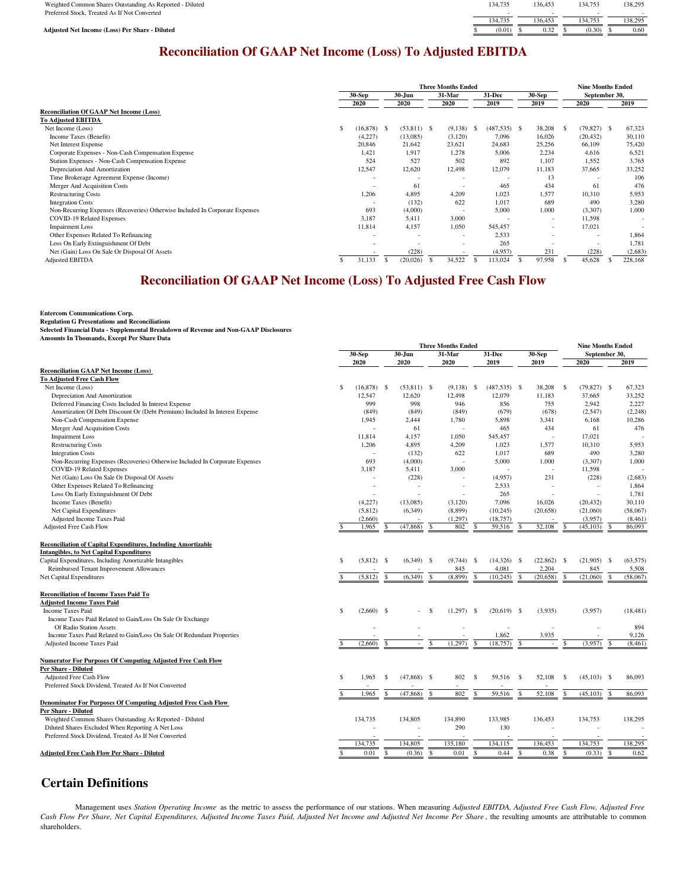| Weighted Common Shares Outstanding As Reported - Diluted | 134.735 | 136.453 | 134.753 | 138.295 |
|----------------------------------------------------------|---------|---------|---------|---------|
| Preferred Stock. Treated As If Not Converted             |         |         |         |         |
|                                                          | 134.735 | 136.453 | 34.753  | 138.295 |
| <b>Adjusted Net Income (Loss) Per Share - Diluted</b>    | (0.01)  | 0.32    | (0.30)  | 0.60    |
|                                                          |         |         |         |         |

# **Reconciliation Of GAAP Net Income (Loss) To Adjusted EBITDA**

|                                                                              |                     |    |               | <b>Three Months Ended</b> |     |                |                          |      | <b>Nine Months Ended</b> |         |
|------------------------------------------------------------------------------|---------------------|----|---------------|---------------------------|-----|----------------|--------------------------|------|--------------------------|---------|
|                                                                              | $30-Sep$            |    | 30-Jun        | 31-Mar                    |     | $31 - Dec$     | 30-Sep                   |      | September 30,            |         |
|                                                                              | 2020                |    | 2020          | 2020                      |     | 2019           | 2019                     |      | 2020                     | 2019    |
| <b>Reconciliation Of GAAP Net Income (Loss)</b>                              |                     |    |               |                           |     |                |                          |      |                          |         |
| <b>To Adjusted EBITDA</b>                                                    |                     |    |               |                           |     |                |                          |      |                          |         |
| Net Income (Loss)                                                            | \$<br>$(16,878)$ \$ |    | $(53,811)$ \$ | (9,138)                   | - 5 | $(487,535)$ \$ | 38,208                   | - \$ | $(79,827)$ \$            | 67,323  |
| Income Taxes (Benefit)                                                       | (4,227)             |    | (13,085)      | (3,120)                   |     | 7,096          | 16,026                   |      | (20, 432)                | 30,110  |
| Net Interest Expense                                                         | 20,846              |    | 21,642        | 23,621                    |     | 24,683         | 25,256                   |      | 66,109                   | 75,420  |
| Corporate Expenses - Non-Cash Compensation Expense                           | 1,421               |    | 1,917         | 1,278                     |     | 5,006          | 2,234                    |      | 4,616                    | 6,521   |
| Station Expenses - Non-Cash Compensation Expense                             | 524                 |    | 527           | 502                       |     | 892            | 1,107                    |      | 1,552                    | 3,765   |
| Depreciation And Amortization                                                | 12,547              |    | 12,620        | 12,498                    |     | 12,079         | 11,183                   |      | 37,665                   | 33,252  |
| Time Brokerage Agreement Expense (Income)                                    |                     |    |               |                           |     |                | 13                       |      |                          | 106     |
| Merger And Acquisition Costs                                                 | -                   |    | 61            | -                         |     | 465            | 434                      |      | 61                       | 476     |
| <b>Restructuring Costs</b>                                                   | 1,206               |    | 4,895         | 4,209                     |     | 1,023          | 1,577                    |      | 10,310                   | 5,953   |
| <b>Integration Costs</b>                                                     |                     |    | (132)         | 622                       |     | 1,017          | 689                      |      | 490                      | 3,280   |
| Non-Recurring Expenses (Recoveries) Otherwise Included In Corporate Expenses | 693                 |    | (4,000)       | <b>.</b>                  |     | 5,000          | 1,000                    |      | (3,307)                  | 1,000   |
| COVID-19 Related Expenses                                                    | 3,187               |    | 5,411         | 3,000                     |     |                | $\sim$                   |      | 11,598                   | ÷       |
| <b>Impairment Loss</b>                                                       | 11,814              |    | 4,157         | 1,050                     |     | 545,457        | ٠                        |      | 17,021                   |         |
| Other Expenses Related To Refinancing                                        | -                   |    | -             | $\overline{\phantom{a}}$  |     | 2,533          | $\overline{\phantom{a}}$ |      | ٠                        | 1,864   |
| Loss On Early Extinguishment Of Debt                                         |                     |    |               | ۰                         |     | 265            |                          |      |                          | 1,781   |
| Net (Gain) Loss On Sale Or Disposal Of Assets                                |                     |    | (228)         |                           |     | (4,957)        | 231                      |      | (228)                    | (2,683) |
| <b>Adjusted EBITDA</b>                                                       | \$<br>31,133        | -S | (20,026)      | 34,522                    |     | 113,024        | 97,958                   |      | 45,628                   | 228,168 |

# **Reconciliation Of GAAP Net Income (Loss) To Adjusted Free Cash Flow**

#### **Entercom Communications Corp.**

**Regulation G Presentations and Reconciliations Selected Financial Data - Supplemental Breakdown of Revenue and Non-GAAP Disclosures**

**Amounts In Thousands, Except Per Share Data**

|                                                                              |              | <b>Three Months Ended</b> |                  |               |                    |                       |      |                 |               |           | <b>Nine Months Ended</b> |                          |               |           |
|------------------------------------------------------------------------------|--------------|---------------------------|------------------|---------------|--------------------|-----------------------|------|-----------------|---------------|-----------|--------------------------|--------------------------|---------------|-----------|
|                                                                              |              |                           | 30-Sep<br>30-Jun |               |                    | 31-Mar                |      | 31-Dec          | 30-Sep        |           |                          | September 30,            |               |           |
|                                                                              |              | 2020                      |                  | 2020          |                    | 2020                  |      | 2019            |               | 2019      |                          | 2020                     |               | 2019      |
| <b>Reconciliation GAAP Net Income (Loss)</b>                                 |              |                           |                  |               |                    |                       |      |                 |               |           |                          |                          |               |           |
| <b>To Adjusted Free Cash Flow</b>                                            |              |                           |                  |               |                    |                       |      |                 |               |           |                          |                          |               |           |
| Net Income (Loss)                                                            | \$           | $(16,878)$ \$             |                  | $(53,811)$ \$ |                    | (9, 138)              | - \$ | $(487, 535)$ \$ |               | 38,208    | -S                       | $(79,827)$ \$            |               | 67,323    |
| Depreciation And Amortization                                                |              | 12,547                    |                  | 12,620        |                    | 12,498                |      | 12,079          |               | 11,183    |                          | 37,665                   |               | 33,252    |
| Deferred Financing Costs Included In Interest Expense                        |              | 999                       |                  | 998           |                    | 946                   |      | 856             |               | 755       |                          | 2,942                    |               | 2,227     |
| Amortization Of Debt Discount Or (Debt Premium) Included In Interest Expense |              | (849)                     |                  | (849)         |                    | (849)                 |      | (679)           |               | (678)     |                          | (2,547)                  |               | (2, 248)  |
| Non-Cash Compensation Expense                                                |              | 1,945                     |                  | 2,444         |                    | 1,780                 |      | 5,898           |               | 3,341     |                          | 6,168                    |               | 10,286    |
| Merger And Acquisition Costs                                                 |              |                           |                  | 61            |                    |                       |      | 465             |               | 434       |                          | 61                       |               | 476       |
| <b>Impairment Loss</b>                                                       |              | 11,814                    |                  | 4,157         |                    | 1,050                 |      | 545,457         |               |           |                          | 17,021                   |               |           |
| <b>Restructuring Costs</b>                                                   |              | 1,206                     |                  | 4,895         |                    | 4,209                 |      | 1,023           |               | 1,577     |                          | 10,310                   |               | 5,953     |
| <b>Integration Costs</b>                                                     |              |                           |                  | (132)         |                    | 622                   |      | 1.017           |               | 689       |                          | 490                      |               | 3,280     |
| Non-Recurring Expenses (Recoveries) Otherwise Included In Corporate Expenses |              | 693                       |                  | (4,000)       |                    | ÷.                    |      | 5,000           |               | 1,000     |                          | (3,307)                  |               | 1,000     |
| COVID-19 Related Expenses                                                    |              | 3,187                     |                  | 5,411         |                    | 3,000                 |      |                 |               |           |                          | 11,598                   |               |           |
| Net (Gain) Loss On Sale Or Disposal Of Assets                                |              |                           |                  | (228)         |                    | $\tilde{\phantom{a}}$ |      | (4,957)         |               | 231       |                          | (228)                    |               | (2,683)   |
| Other Expenses Related To Refinancing                                        |              | $\bar{a}$                 |                  | $\sim$        |                    | $\sim$                |      | 2,533           |               |           |                          | $\overline{\phantom{a}}$ |               | 1.864     |
| Loss On Early Extinguishment Of Debt                                         |              | ä,                        |                  |               |                    |                       |      | 265             |               | ÷.        |                          | ÷,                       |               | 1,781     |
| Income Taxes (Benefit)                                                       |              | (4,227)                   |                  | (13,085)      |                    | (3,120)               |      | 7,096           |               | 16,026    |                          | (20, 432)                |               | 30,110    |
| Net Capital Expenditures                                                     |              | (5,812)                   |                  | (6,349)       |                    | (8,899)               |      | (10, 245)       |               | (20, 658) |                          | (21,060)                 |               | (58,067)  |
| Adjusted Income Taxes Paid                                                   |              | (2,660)                   |                  |               |                    | (1, 297)              |      | (18, 757)       |               |           |                          | (3,957)                  |               | (8, 461)  |
| Adjusted Free Cash Flow                                                      | $\mathbf{s}$ | 1,965                     |                  | (47, 868)     | <sup>\$</sup>      | 802                   | \$.  | 59,516          | \$            | 52,108    | S                        | (45, 103)                | <sup>\$</sup> | 86,093    |
| <b>Reconciliation of Capital Expenditures, Including Amortizable</b>         |              |                           |                  |               |                    |                       |      |                 |               |           |                          |                          |               |           |
| <b>Intangibles, to Net Capital Expenditures</b>                              |              |                           |                  |               |                    |                       |      |                 |               |           |                          |                          |               |           |
| Capital Expenditures, Including Amortizable Intangibles                      | \$           | $(5,812)$ \$              |                  | $(6,349)$ \$  |                    | (9.744)               | - \$ | $(14,326)$ \$   |               | (22, 862) | - S                      | $(21,905)$ \$            |               | (63, 575) |
| Reimbursed Tenant Improvement Allowances                                     |              |                           |                  |               |                    | 845                   |      | 4,081           |               | 2,204     |                          | 845                      |               | 5,508     |
| Net Capital Expenditures                                                     |              | (5,812)                   |                  | (6, 349)      |                    | (8,899)               |      | (10, 245)       | \$            | (20, 658) |                          | (21,060)                 |               | (58,067)  |
|                                                                              |              |                           |                  |               |                    |                       |      |                 |               |           |                          |                          |               |           |
| <b>Reconciliation of Income Taxes Paid To</b>                                |              |                           |                  |               |                    |                       |      |                 |               |           |                          |                          |               |           |
| <b>Adjusted Income Taxes Paid</b><br><b>Income Taxes Paid</b>                |              |                           |                  |               |                    |                       |      |                 |               |           |                          |                          |               |           |
|                                                                              | \$           | $(2,660)$ \$              |                  |               | -S                 | (1,297)               | - \$ | $(20,619)$ \$   |               | (3,935)   |                          | (3,957)                  |               | (18, 481) |
| Income Taxes Paid Related to Gain/Loss On Sale Or Exchange                   |              |                           |                  |               |                    |                       |      |                 |               |           |                          |                          |               |           |
| Of Radio Station Assets                                                      |              |                           |                  |               |                    |                       |      |                 |               |           |                          |                          |               | 894       |
| Income Taxes Paid Related to Gain/Loss On Sale Of Redundant Properties       |              |                           |                  |               |                    |                       |      | 1,862           |               | 3,935     |                          |                          |               | 9,126     |
| Adjusted Income Taxes Paid                                                   |              | (2,660)                   |                  | $\sim$        |                    | (1,297)               |      | (18, 757)       | $\mathcal{S}$ |           |                          | (3,957)                  |               | (8, 461)  |
| Numerator For Purposes Of Computing Adjusted Free Cash Flow                  |              |                           |                  |               |                    |                       |      |                 |               |           |                          |                          |               |           |
| <b>Per Share - Diluted</b>                                                   |              |                           |                  |               |                    |                       |      |                 |               |           |                          |                          |               |           |
| Adjusted Free Cash Flow                                                      | \$           | 1,965                     | \$.              | $(47,868)$ \$ |                    | 802                   | -S   | 59,516          | $\mathbf{s}$  | 52,108    | <sup>\$</sup>            | $(45,103)$ \$            |               | 86,093    |
| Preferred Stock Dividend, Treated As If Not Converted                        |              |                           |                  |               |                    |                       |      |                 |               |           |                          |                          |               |           |
|                                                                              |              | 1,965                     |                  | (47, 868)     | $\mathbf{\hat{S}}$ | 802                   | -S   | 59,516          | $\mathbf{s}$  | 52,108    |                          | (45, 103)                |               | 86,093    |
| Denominator For Purposes Of Computing Adjusted Free Cash Flow                |              |                           |                  |               |                    |                       |      |                 |               |           |                          |                          |               |           |
| Per Share - Diluted                                                          |              |                           |                  |               |                    |                       |      |                 |               |           |                          |                          |               |           |
| Weighted Common Shares Outstanding As Reported - Diluted                     |              | 134,735                   |                  | 134,805       |                    | 134,890               |      | 133,985         |               | 136,453   |                          | 134,753                  |               | 138,295   |
| Diluted Shares Excluded When Reporting A Net Loss                            |              |                           |                  | ۰             |                    | 290                   |      | 130             |               |           |                          |                          |               |           |
| Preferred Stock Dividend, Treated As If Not Converted                        |              |                           |                  |               |                    |                       |      |                 |               |           |                          |                          |               |           |
|                                                                              |              | 134,735                   |                  | 134,805       |                    | 135,180               |      | 134,115         |               | 136,453   |                          | 134,753                  |               | 138,295   |
| <b>Adjusted Free Cash Flow Per Share - Diluted</b>                           | \$           | 0.01                      | <sup>\$</sup>    | (0.36)        | -S                 | 0.01                  | \$.  | 0.44            | \$            | 0.38      | S                        | (0.33)                   | -S            | 0.62      |

#### **Certain Definitions**

Management uses *Station Operating Income* as the metric to assess the performance of our stations. When measuring *Adjusted EBITDA, Adjusted Free Cash Flow, Adjusted Free Cash Flow Per Share, Net Capital Expenditures, Adjusted Income Taxes Paid, Adjusted Net Income and Adjusted Net Income Per Share* , the resulting amounts are attributable to common shareholders.